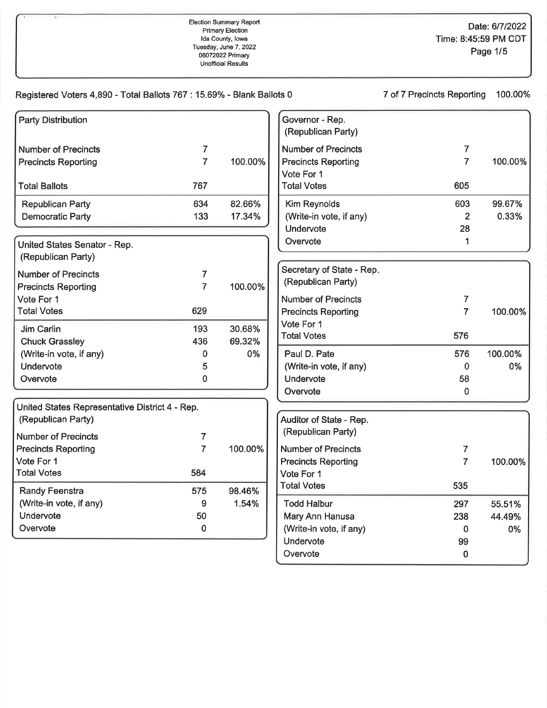| Registered Voters 4,890 - Total Ballots 767 : 15.69% - Blank Ballots 0 |                |         |                                       | 7 of 7 Precincts Reporting | 100.00% |
|------------------------------------------------------------------------|----------------|---------|---------------------------------------|----------------------------|---------|
| <b>Party Distribution</b>                                              |                |         | Governor - Rep.<br>(Republican Party) |                            |         |
| <b>Number of Precincts</b>                                             | 7              |         | <b>Number of Precincts</b>            | 7                          |         |
| <b>Precincts Reporting</b>                                             | $\overline{7}$ | 100.00% | <b>Precincts Reporting</b>            | $\overline{7}$             | 100.00% |
|                                                                        |                |         | Vote For 1                            |                            |         |
| <b>Total Ballots</b>                                                   | 767            |         | <b>Total Votes</b>                    | 605                        |         |
| <b>Republican Party</b>                                                | 634            | 82.66%  | <b>Kim Reynolds</b>                   | 603                        | 99.67%  |
| <b>Democratic Party</b>                                                | 133            | 17.34%  | (Write-in vote, if any)               | $\overline{2}$             | 0.33%   |
|                                                                        |                |         | Undervote                             | 28                         |         |
| United States Senator - Rep.                                           |                |         | Overvote                              | 1                          |         |
| (Republican Party)                                                     |                |         |                                       |                            |         |
| <b>Number of Precincts</b>                                             | 7              |         | Secretary of State - Rep.             |                            |         |
| <b>Precincts Reporting</b>                                             | 7              | 100.00% | (Republican Party)                    |                            |         |
| Vote For 1                                                             |                |         | <b>Number of Precincts</b>            | 7                          |         |
| <b>Total Votes</b>                                                     | 629            |         | <b>Precincts Reporting</b>            | $\overline{7}$             | 100.00% |
| Jim Carlin                                                             | 193            | 30.68%  | Vote For 1                            |                            |         |
| <b>Chuck Grassley</b>                                                  | 436            | 69.32%  | <b>Total Votes</b>                    | 576                        |         |
| (Write-in vote, if any)                                                | 0              | 0%      | Paul D. Pate                          | 576                        | 100.00% |
| Undervote                                                              | 5              |         | (Write-in vote, if any)               | 0                          | 0%      |
| Overvote                                                               | 0              |         | Undervote                             | 58                         |         |
|                                                                        |                |         | Overvote                              | $\mathbf 0$                |         |
| United States Representative District 4 - Rep.                         |                |         |                                       |                            |         |
| (Republican Party)                                                     |                |         | Auditor of State - Rep.               |                            |         |
| <b>Number of Precincts</b>                                             | 7              |         | (Republican Party)                    |                            |         |
| <b>Precincts Reporting</b>                                             | $\overline{7}$ | 100.00% | <b>Number of Precincts</b>            | 7                          |         |
| Vote For 1                                                             |                |         | <b>Precincts Reporting</b>            | $\overline{7}$             | 100.00% |
| <b>Total Votes</b>                                                     | 584            |         | Vote For 1                            |                            |         |
| Randy Feenstra                                                         | 575            | 98.46%  | <b>Total Votes</b>                    | 535                        |         |
| (Write-in vote, if any)                                                | 9              | 1.54%   | <b>Todd Halbur</b>                    | 297                        | 55.51%  |
| Undervote                                                              | 50             |         | Mary Ann Hanusa                       | 238                        | 44.49%  |
| Overvote                                                               | $\mathbf 0$    |         | (Write-in vote, if any)               | 0                          | 0%      |
|                                                                        |                |         | Undervote                             | 99                         |         |
|                                                                        |                |         | Overvote                              | $\pmb{0}$                  |         |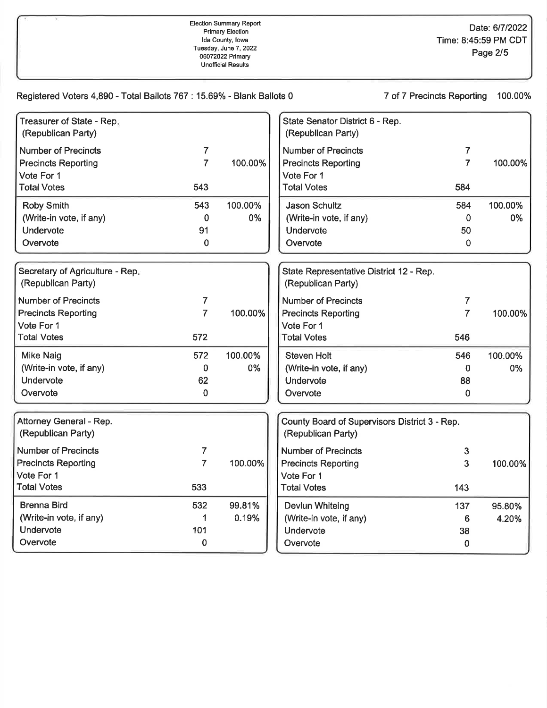| Registered Voters 4,890 - Total Ballots 767 : 15.69% - Blank Ballots 0 |                |         |                                                                     | 7 of 7 Precincts Reporting | 100.00% |
|------------------------------------------------------------------------|----------------|---------|---------------------------------------------------------------------|----------------------------|---------|
| Treasurer of State - Rep.<br>(Republican Party)                        |                |         | State Senator District 6 - Rep.<br>(Republican Party)               |                            |         |
| <b>Number of Precincts</b>                                             | $\overline{7}$ |         | <b>Number of Precincts</b>                                          | 7                          |         |
| <b>Precincts Reporting</b>                                             | $\overline{7}$ | 100.00% | <b>Precincts Reporting</b>                                          | $\overline{7}$             | 100.00% |
| Vote For 1                                                             |                |         | Vote For 1                                                          |                            |         |
| <b>Total Votes</b>                                                     | 543            |         | <b>Total Votes</b>                                                  | 584                        |         |
| <b>Roby Smith</b>                                                      | 543            | 100.00% | <b>Jason Schultz</b>                                                | 584                        | 100.00% |
| (Write-in vote, if any)                                                | 0              | 0%      | (Write-in vote, if any)                                             | $\mathbf 0$                | 0%      |
| Undervote                                                              | 91             |         | Undervote                                                           | 50                         |         |
| Overvote                                                               | 0              |         | Overvote                                                            | $\mathbf 0$                |         |
| Secretary of Agriculture - Rep.<br>(Republican Party)                  |                |         | State Representative District 12 - Rep.<br>(Republican Party)       |                            |         |
| <b>Number of Precincts</b>                                             | 7              |         | <b>Number of Precincts</b>                                          | $\overline{7}$             |         |
| <b>Precincts Reporting</b>                                             | $\overline{7}$ | 100.00% | <b>Precincts Reporting</b>                                          | $\overline{7}$             | 100.00% |
| Vote For 1                                                             |                |         | Vote For 1                                                          |                            |         |
| <b>Total Votes</b>                                                     | 572            |         | <b>Total Votes</b>                                                  | 546                        |         |
| Mike Naig                                                              | 572            | 100.00% | <b>Steven Holt</b>                                                  | 546                        | 100.00% |
| (Write-in vote, if any)                                                | 0              | 0%      | (Write-in vote, if any)                                             | $\mathbf 0$                | 0%      |
| Undervote                                                              | 62             |         | Undervote                                                           | 88                         |         |
| Overvote                                                               | 0              |         | Overvote                                                            | 0                          |         |
| Attorney General - Rep.<br>(Republican Party)                          |                |         | County Board of Supervisors District 3 - Rep.<br>(Republican Party) |                            |         |
| <b>Number of Precincts</b>                                             | 7              |         | <b>Number of Precincts</b>                                          | 3                          |         |
| <b>Precincts Reporting</b>                                             | $\overline{7}$ | 100.00% | <b>Precincts Reporting</b>                                          | 3                          | 100.00% |
| Vote For 1                                                             |                |         | Vote For 1                                                          |                            |         |
| <b>Total Votes</b>                                                     | 533            |         | <b>Total Votes</b>                                                  | 143                        |         |
| <b>Brenna Bird</b>                                                     | 532            | 99.81%  | <b>Devlun Whiteing</b>                                              | 137                        | 95.80%  |
| (Write-in vote, if any)                                                | 1              | 0.19%   | (Write-in vote, if any)                                             | 6                          | 4.20%   |
| Undervote                                                              | 101            |         | Undervote                                                           | 38                         |         |
| Overvote                                                               | 0              |         | Overvote                                                            | $\mathbf 0$                |         |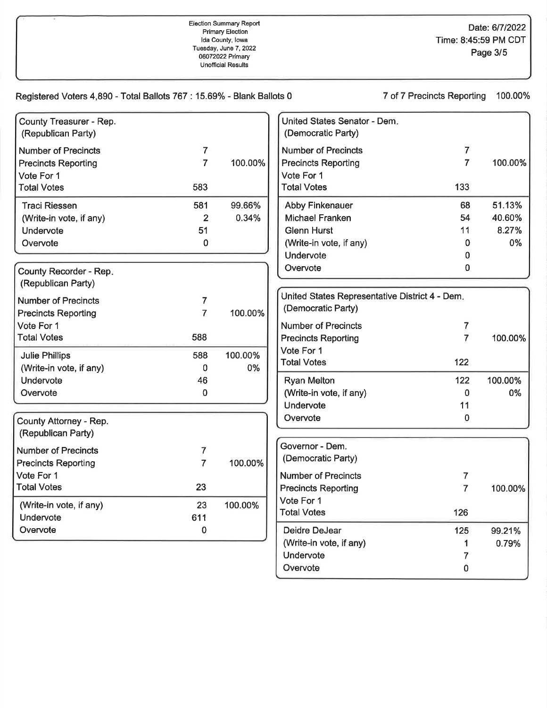| County Treasurer - Rep.<br>(Republican Party) |                |         | United States Senator - Dem.<br>(Democratic Party) |                |         |
|-----------------------------------------------|----------------|---------|----------------------------------------------------|----------------|---------|
| <b>Number of Precincts</b>                    | $\overline{7}$ |         | <b>Number of Precincts</b>                         | $\overline{7}$ |         |
| <b>Precincts Reporting</b>                    | $\overline{7}$ | 100.00% | <b>Precincts Reporting</b>                         | $\overline{7}$ | 100.00% |
| Vote For 1                                    |                |         | Vote For 1                                         |                |         |
| <b>Total Votes</b>                            | 583            |         | <b>Total Votes</b>                                 | 133            |         |
| <b>Traci Riessen</b>                          | 581            | 99.66%  | <b>Abby Finkenauer</b>                             | 68             | 51.13%  |
| (Write-in vote, if any)                       | 2              | 0.34%   | <b>Michael Franken</b>                             | 54             | 40.60%  |
| Undervote                                     | 51             |         | <b>Glenn Hurst</b>                                 | 11             | 8.27%   |
| Overvote                                      | 0              |         | (Write-in vote, if any)                            | 0              | 0%      |
|                                               |                |         | Undervote                                          | 0              |         |
| County Recorder - Rep.                        |                |         | Overvote                                           | 0              |         |
| (Republican Party)                            |                |         |                                                    |                |         |
| <b>Number of Precincts</b>                    | 7              |         | United States Representative District 4 - Dem.     |                |         |
| <b>Precincts Reporting</b>                    | $\overline{7}$ | 100.00% | (Democratic Party)                                 |                |         |
| Vote For 1                                    |                |         | <b>Number of Precincts</b>                         | 7              |         |
| <b>Total Votes</b>                            | 588            |         | <b>Precincts Reporting</b>                         | $\overline{7}$ | 100.00% |
| <b>Julie Phillips</b>                         | 588            | 100.00% | Vote For 1                                         |                |         |
| (Write-in vote, if any)                       | 0              | 0%      | <b>Total Votes</b>                                 | 122            |         |
| Undervote                                     | 46             |         | <b>Ryan Melton</b>                                 | 122            | 100.00% |
| Overvote                                      | $\mathbf 0$    |         | (Write-in vote, if any)                            | 0              | 0%      |
|                                               |                |         | Undervote                                          | 11             |         |
|                                               |                |         | Overvote                                           | 0              |         |
| County Attorney - Rep.<br>(Republican Party)  |                |         |                                                    |                |         |
| <b>Number of Precincts</b>                    | 7              |         | Governor - Dem.                                    |                |         |
| <b>Precincts Reporting</b>                    | $\overline{7}$ | 100.00% | (Democratic Party)                                 |                |         |
| Vote For 1                                    |                |         | <b>Number of Precincts</b>                         | 7              |         |
| <b>Total Votes</b>                            | 23             |         | <b>Precincts Reporting</b>                         | $\overline{7}$ | 100.00% |
|                                               |                |         | Vote For 1                                         |                |         |
| (Write-in vote, if any)                       | 23             | 100.00% | <b>Total Votes</b>                                 | 126            |         |
| Undervote                                     | 611            |         |                                                    |                |         |
| Overvote                                      | $\mathbf 0$    |         | Deidre DeJear                                      | 125            | 99.21%  |
|                                               |                |         | (Write-in vote, if any)                            |                | 0.79%   |
|                                               |                |         | Undervote                                          | 7              |         |
|                                               |                |         | Overvote                                           | $\pmb{0}$      |         |

## Registered Voters 4,890 - Total Ballots 767 : 15.69% - Blank Ballots 0

7 of 7 Precincts Reporting 100.00%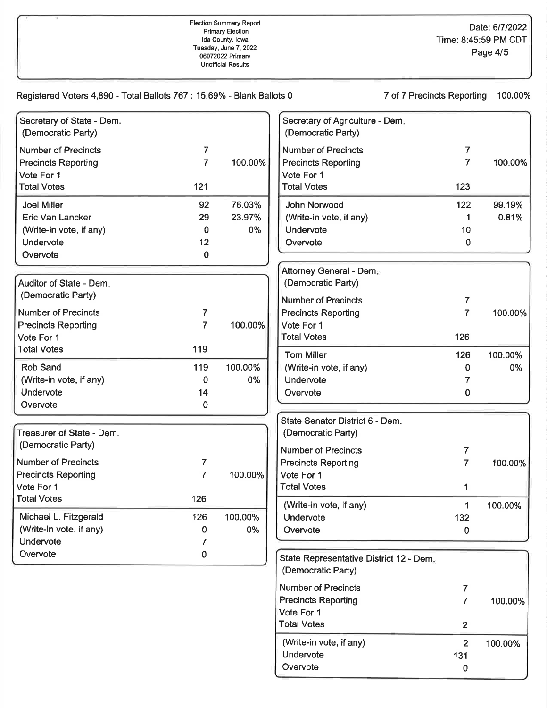131 0

| Registered Voters 4,890 - Total Ballots 767 : 15.69% - Blank Ballots 0 |                |         |                                                               | 7 of 7 Precincts Reporting | 100.00% |
|------------------------------------------------------------------------|----------------|---------|---------------------------------------------------------------|----------------------------|---------|
| Secretary of State - Dem.<br>(Democratic Party)                        |                |         | Secretary of Agriculture - Dem.<br>(Democratic Party)         |                            |         |
| <b>Number of Precincts</b>                                             | 7              |         | <b>Number of Precincts</b>                                    | 7                          |         |
| <b>Precincts Reporting</b><br>Vote For 1                               | $\overline{7}$ | 100.00% | <b>Precincts Reporting</b><br>Vote For 1                      | $\overline{7}$             | 100.00% |
| <b>Total Votes</b>                                                     | 121            |         | <b>Total Votes</b>                                            | 123                        |         |
| <b>Joel Miller</b>                                                     | 92             | 76.03%  | John Norwood                                                  | 122                        | 99.19%  |
| <b>Eric Van Lancker</b>                                                | 29             | 23.97%  | (Write-in vote, if any)                                       | 1                          | 0.81%   |
| (Write-in vote, if any)                                                | 0              | 0%      | Undervote                                                     | 10                         |         |
| Undervote                                                              | 12             |         | Overvote                                                      | 0                          |         |
| Overvote                                                               | 0              |         |                                                               |                            |         |
|                                                                        |                |         | Attorney General - Dem.                                       |                            |         |
| Auditor of State - Dem.                                                |                |         | (Democratic Party)                                            |                            |         |
| (Democratic Party)                                                     |                |         | <b>Number of Precincts</b>                                    | 7                          |         |
| <b>Number of Precincts</b>                                             | 7              |         | <b>Precincts Reporting</b>                                    | $\overline{7}$             | 100.00% |
| <b>Precincts Reporting</b>                                             | $\overline{7}$ | 100.00% | Vote For 1                                                    |                            |         |
| Vote For 1                                                             |                |         | <b>Total Votes</b>                                            | 126                        |         |
| <b>Total Votes</b>                                                     | 119            |         | <b>Tom Miller</b>                                             | 126                        | 100.00% |
| <b>Rob Sand</b>                                                        | 119            | 100.00% | (Write-in vote, if any)                                       | 0                          | 0%      |
| (Write-in vote, if any)                                                | 0              | 0%      | Undervote                                                     | 7                          |         |
| Undervote                                                              | 14             |         | Overvote                                                      | 0                          |         |
| Overvote                                                               | 0              |         |                                                               |                            |         |
|                                                                        |                |         | State Senator District 6 - Dem.                               |                            |         |
| Treasurer of State - Dem.                                              |                |         | (Democratic Party)                                            |                            |         |
| (Democratic Party)                                                     |                |         | <b>Number of Precincts</b>                                    | 7                          |         |
| <b>Number of Precincts</b>                                             | 7              |         | <b>Precincts Reporting</b>                                    | $\overline{7}$             | 100.00% |
| <b>Precincts Reporting</b>                                             | $\overline{7}$ | 100.00% | Vote For 1                                                    |                            |         |
| Vote For 1                                                             |                |         | <b>Total Votes</b>                                            |                            |         |
| <b>Total Votes</b>                                                     | 126            |         |                                                               |                            |         |
| Michael L. Fitzgerald                                                  | 126            | 100.00% | (Write-in vote, if any)<br>Undervote                          | 1<br>132                   | 100.00% |
| (Write-in vote, if any)                                                | 0              | 0%      | Overvote                                                      | $\bf{0}$                   |         |
| Undervote                                                              | 7              |         |                                                               |                            |         |
| Overvote                                                               | 0              |         |                                                               |                            |         |
|                                                                        |                |         | State Representative District 12 - Dem.<br>(Democratic Party) |                            |         |
|                                                                        |                |         | <b>Number of Precincts</b>                                    | 7                          |         |
|                                                                        |                |         | <b>Precincts Reporting</b>                                    | 7                          | 100.00% |
|                                                                        |                |         | Vote For 1                                                    |                            |         |
|                                                                        |                |         | <b>Total Votes</b>                                            | $\overline{2}$             |         |
|                                                                        |                |         | (Write-in vote, if any)                                       | $\overline{2}$             | 100.00% |

Undervote Overvote